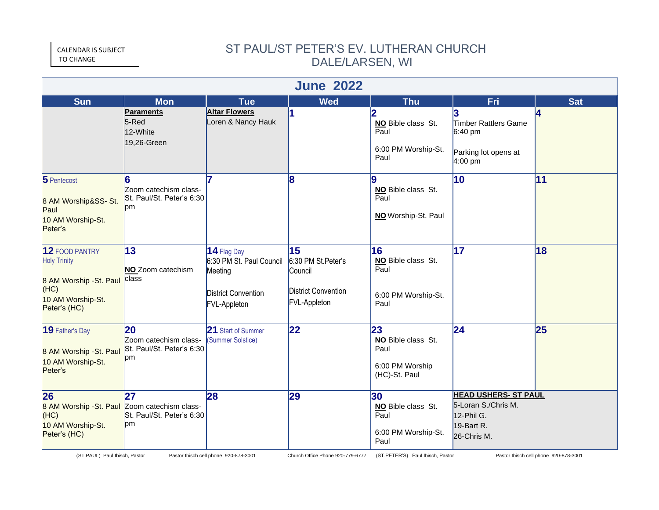CALENDAR IS SUBJECT TO CHANGE

## ST PAUL/ST PETER'S EV. LUTHERAN CHURCH DALE/LARSEN, WI

| <b>June 2022</b>                                                                                              |                                                                |                                                                                                         |                                                                                          |                                                                      |                                                                                               |            |  |  |  |  |  |
|---------------------------------------------------------------------------------------------------------------|----------------------------------------------------------------|---------------------------------------------------------------------------------------------------------|------------------------------------------------------------------------------------------|----------------------------------------------------------------------|-----------------------------------------------------------------------------------------------|------------|--|--|--|--|--|
| <b>Sun</b>                                                                                                    | <b>Mon</b>                                                     | <b>Tue</b>                                                                                              | <b>Wed</b>                                                                               | <b>Thu</b>                                                           | Fri                                                                                           | <b>Sat</b> |  |  |  |  |  |
|                                                                                                               | <b>Paraments</b><br>$5$ -Red<br>12-White<br>19,26-Green        | <b>Altar Flowers</b><br>Loren & Nancy Hauk                                                              | 1                                                                                        | NO Bible class St.<br>Paul<br>6:00 PM Worship-St.<br>Paul            | Timber Rattlers Game<br>$6:40 \text{ pm}$<br>Parking lot opens at<br>$4:00 \text{ pm}$        | 14         |  |  |  |  |  |
| 5 Pentecost<br>8 AM Worship&SS- St.<br>Paul<br>10 AM Worship-St.<br>Peter's                                   | 6<br>Zoom catechism class-<br>St. Paul/St. Peter's 6:30<br>pm  |                                                                                                         | 8                                                                                        | 9<br>NO Bible class St.<br>Paul<br>NO Worship-St. Paul               | 10                                                                                            | 11         |  |  |  |  |  |
| 12 FOOD PANTRY<br><b>Holy Trinity</b><br>8 AM Worship - St. Paul<br>(HC)<br>10 AM Worship-St.<br>Peter's (HC) | 13<br>NO Zoom catechism<br>class                               | 14 Flag Day<br>6:30 PM St. Paul Council<br>Meeting<br><b>District Convention</b><br><b>FVL-Appleton</b> | 15<br>6:30 PM St.Peter's<br>Council<br><b>District Convention</b><br><b>FVL-Appleton</b> | 16<br>NO Bible class St.<br>Paul<br>6:00 PM Worship-St.<br>Paul      | 17                                                                                            | 18         |  |  |  |  |  |
| 19 Father's Day<br>8 AM Worship - St. Paul<br>10 AM Worship-St.<br>Peter's                                    | 20<br>Zoom catechism class-<br>St. Paul/St. Peter's 6:30<br>pm | 21 Start of Summer<br>(Summer Solstice)                                                                 | 22                                                                                       | 23<br>NO Bible class St.<br>Paul<br>6:00 PM Worship<br>(HC)-St. Paul | 24                                                                                            | 25         |  |  |  |  |  |
| 26<br>8 AM Worship - St. Paul Zoom catechism class-<br>(HC)<br>10 AM Worship-St.<br>Peter's (HC)              | 27<br>St. Paul/St. Peter's 6:30<br>pm                          | 28                                                                                                      | 29                                                                                       | 30<br>NO Bible class St.<br>Paul<br>6:00 PM Worship-St.<br>Paul      | <b>HEAD USHERS- ST PAUL</b><br>5-Loran S./Chris M.<br>12-Phil G.<br>19-Bart R.<br>26-Chris M. |            |  |  |  |  |  |

(ST.PAUL) Paul Ibisch, Pastor Pastor Ibisch cell phone 920-878-3001 Church Office Phone 920-779-6777 (ST.PETER'S) Paul Ibisch, Pastor Pastor Ibisch cell phone 920-878-3001